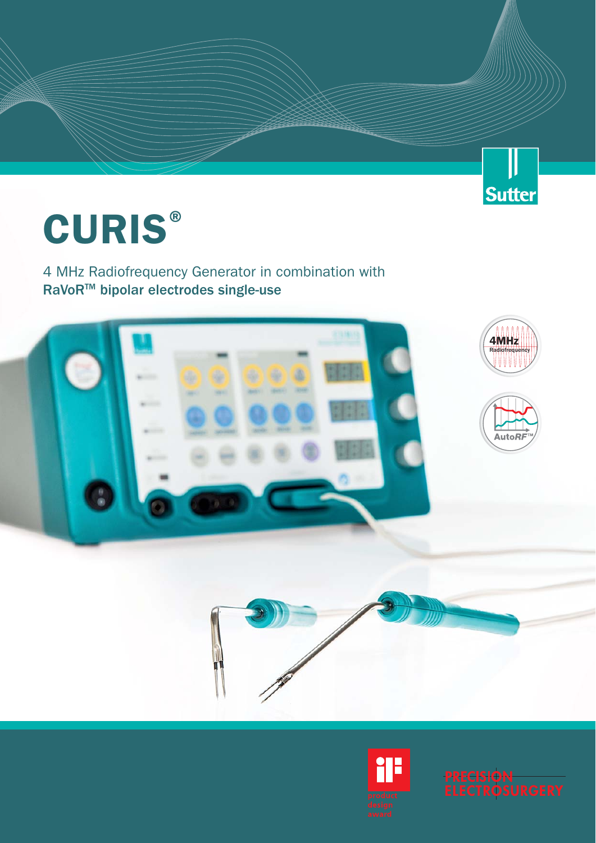## JJ Sutter

# **CURIS®**

4 MHz Radiofrequency Generator in combination with RaVoRTM bipolar electrodes single-use







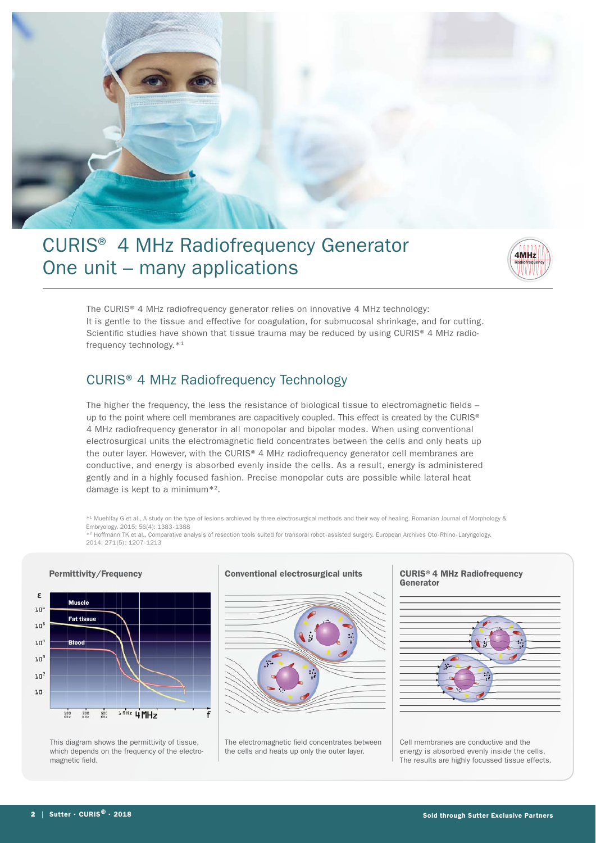

## CURIS® 4 MHz Radiofrequency Generator One unit – many applications



The CURIS® 4 MHz radiofrequency generator relies on innovative 4 MHz technology: It is gentle to the tissue and effective for coagulation, for submucosal shrinkage, and for cutting. Scientific studies have shown that tissue trauma may be reduced by using CURIS® 4 MHz radiofrequency technology.\*1

### CURIS® 4 MHz Radiofrequency Technology

The higher the frequency, the less the resistance of biological tissue to electromagnetic fields – up to the point where cell membranes are capacitively coupled. This effect is created by the CURIS® 4 MHz radiofrequency generator in all monopolar and bipolar modes. When using conventional electrosurgical units the electromagnetic field concentrates between the cells and only heats up the outer layer. However, with the CURIS® 4 MHz radiofrequency generator cell membranes are conductive, and energy is absorbed evenly inside the cells. As a result, energy is administered gently and in a highly focused fashion. Precise monopolar cuts are possible while lateral heat damage is kept to a minimum\*2.

\*1 Muehlfay G et al., A study on the type of lesions archieved by three electrosurgical methods and their way of healing. Romanian Journal of Morphology & Embryology. 2015; 56(4): 1383 - 1388 \*2 Hoffmann TK et al., Comparative analysis of resection tools suited for transoral robot - assisted surgery. European Archives Oto - Rhino - Laryngology.

2014; 271 (5) : 1207 - 1213



This diagram shows the permittivity of tissue, which depends on the frequency of the electromagnetic field.

#### **Conventional electrosurgical units CURIS®4 MHz Radiofrequency**



The electromagnetic field concentrates between the cells and heats up only the outer layer.

## **Generator**



Cell membranes are conductive and the energy is absorbed evenly inside the cells. The results are highly focussed tissue effects.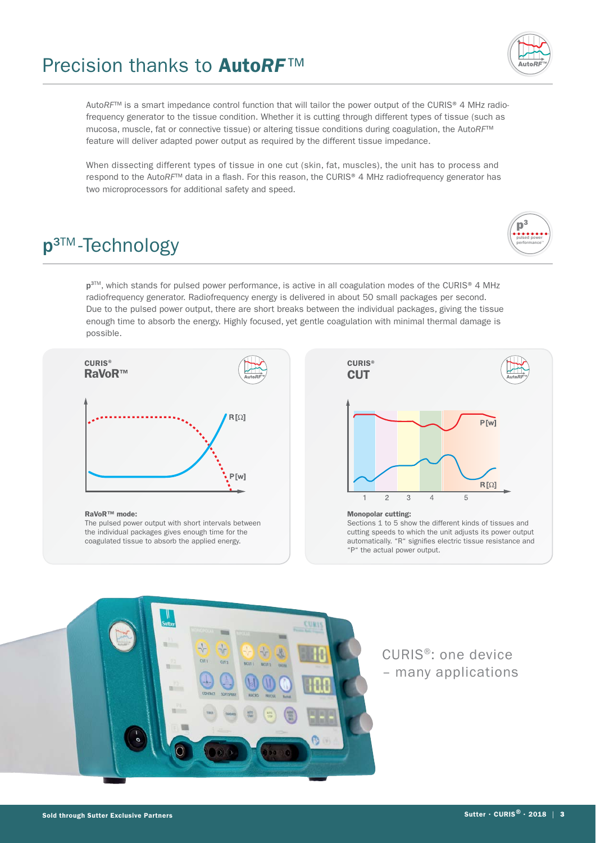## Precision thanks to **Auto***RF*™



When dissecting different types of tissue in one cut (skin, fat, muscles), the unit has to process and respond to the AutoRF<sup>™</sup> data in a flash. For this reason, the CURIS® 4 MHz radiofrequency generator has two microprocessors for additional safety and speed.

## **p**<sup>3™</sup>-Technology

 $\mathbf{p}^3$ pulsed power performance"

p<sup>3™</sup>, which stands for pulsed power performance, is active in all coagulation modes of the CURIS® 4 MHz radiofrequency generator. Radiofrequency energy is delivered in about 50 small packages per second. Due to the pulsed power output, there are short breaks between the individual packages, giving the tissue enough time to absorb the energy. Highly focused, yet gentle coagulation with minimal thermal damage is possible.



#### **RaVoR™ mode:**

The pulsed power output with short intervals between the individual packages gives enough time for the coagulated tissue to absorb the applied energy.



#### **Monopolar cutting:**

Sections 1 to 5 show the different kinds of tissues and cutting speeds to which the unit adjusts its power output automatically. "R" signifies electric tissue resistance and "P" the actual power output.



CURIS®: one device – many applications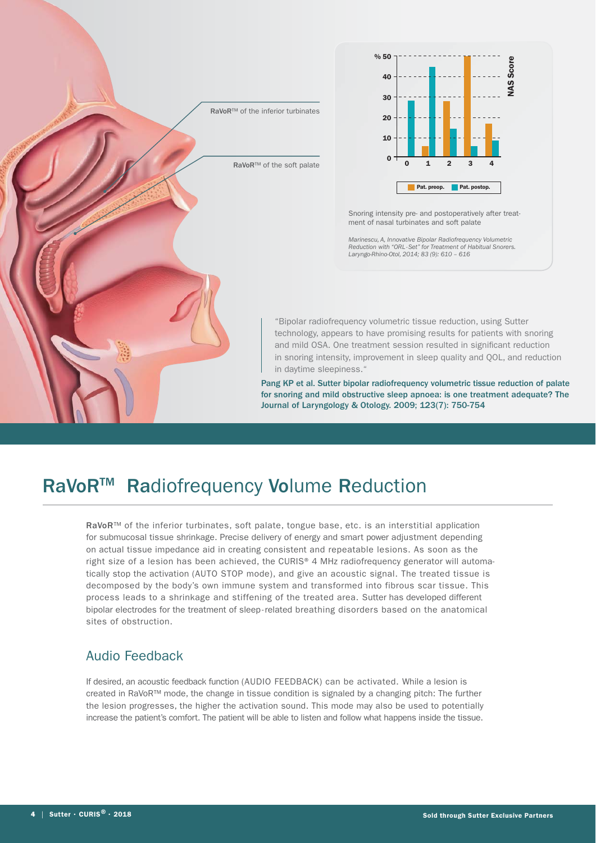



Snoring intensity pre- and postoperatively after treatment of nasal turbinates and soft palate

*Marinescu, A, Innovative Bipolar Radiofrequency Volumetric Reduction with "ORL - Set" for Treatment of Habitual Snorers. Laryngo-Rhino-Otol, 2014; 83 (9): 610 – 616*

"Bipolar radiofrequency volumetric tissue reduction, using Sutter technology, appears to have promising results for patients with snoring and mild OSA. One treatment session resulted in significant reduction in snoring intensity, improvement in sleep quality and QOL, and reduction in daytime sleepiness."

Pang KP et al. Sutter bipolar radiofrequency volumetric tissue reduction of palate for snoring and mild obstructive sleep apnoea: is one treatment adequate? The Journal of Laryngology & Otology. 2009; 123(7): 750-754

## RaVoR<sup>™</sup> Radiofrequency Volume Reduction

RaVoR™ of the inferior turbinates, soft palate, tongue base, etc. is an interstitial application for submucosal tissue shrinkage. Precise delivery of energy and smart power adjustment depending on actual tissue impedance aid in creating consistent and repeatable lesions. As soon as the right size of a lesion has been achieved, the CURIS® 4 MHz radiofrequency generator will automatically stop the activation (AUTO STOP mode), and give an acoustic signal. The treated tissue is decomposed by the body's own immune system and transformed into fibrous scar tissue. This process leads to a shrinkage and stiffening of the treated area. Sutter has developed different bipolar electrodes for the treatment of sleep - related breathing disorders based on the anatomical sites of obstruction.

#### Audio Feedback

If desired, an acoustic feedback function (AUDIO FEEDBACK) can be activated. While a lesion is created in RaVoR™ mode, the change in tissue condition is signaled by a changing pitch: The further the lesion progresses, the higher the activation sound. This mode may also be used to potentially increase the patient's comfort. The patient will be able to listen and follow what happens inside the tissue.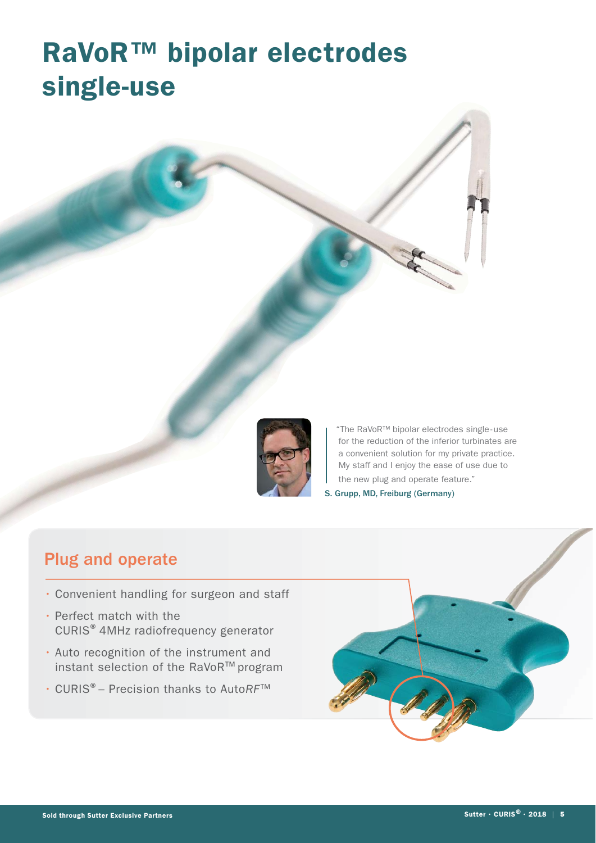## **RaVoR™ bipolar electrodes single-use**



"The RaVoR™ bipolar electrodes single - use for the reduction of the inferior turbinates are a convenient solution for my private practice. My staff and I enjoy the ease of use due to the new plug and operate feature." S. Grupp, MD, Freiburg (Germany)

## Plug and operate

- Convenient handling for surgeon and staff
- Perfect match with the CURIS® 4MHz radiofrequency generator
- Auto recognition of the instrument and instant selection of the RaVoR™ program
- CURIS®– Precision thanks to Auto*RF*™

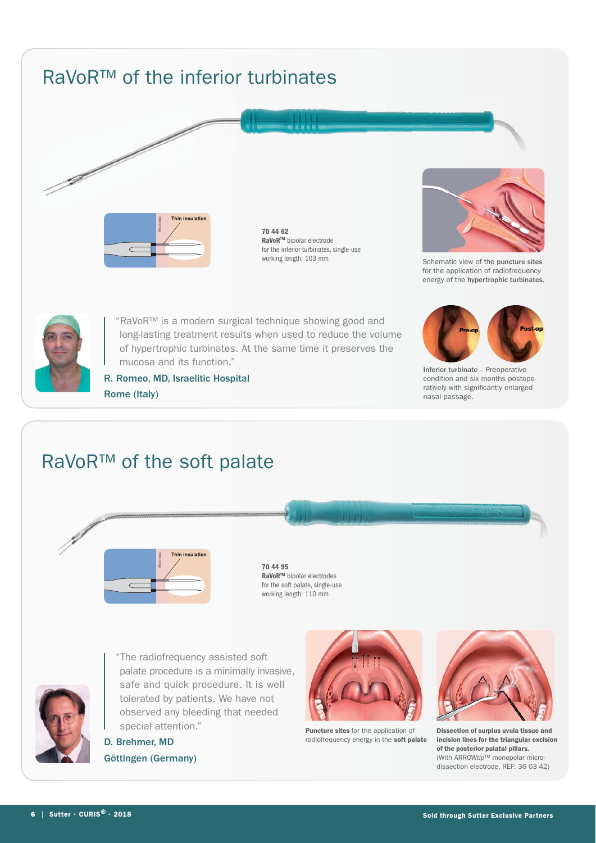## RaVoR™ of the inferior turbinates



70 44 62 **RaVoR<sup>™</sup> bipolar electrode**<br>for the inferior turbinates s for the inferior turbinates, single-use<br>working length: 103 mm



Schematic view of the puncture sites for the application of radiofrequency energy of the hypertrophic turbinates.



e de la comparable de la comparable de la comparable de la comparable de la comparable de la comparable de la<br>Décembre de la comparable de la comparable de la comparable de la comparable de la comparable de la comparable

"RaVoR™ is a modern surgical technique showing good and long-lasting treatment results when used to reduce the volume of hypertrophic turbinates. At the same time it preserves the mucosa and its function."



Inferior turbinate – Preoperative condition and six months postoperatively with significantly enlarged nasal passage.

R. Romeo, MD, Israelitic Hospital Rome (Italy)

## RaVoR™ of the soft palate



**70 44 95**<br>RaVoR™ bipolar electrodes **RaVoR™** bipolar electrodes<br>for the soft palate, single-use working length: 110 mm



"The radiofrequency assisted soft palate procedure is a minimally invasive, safe and quick procedure. It is well tolerated by patients. We have not observed any bleeding that needed special attention."

D. Brehmer, MD Göttingen (Germany)



Puncture sites for the application of radiofrequency energy in the **soft palate** 



Dissection of surplus uvula tissue and incision lines for the triangular excision of the posterior palatal pillars. (With ARROW*tip*™ monopolar microdissection electrode, REF: 36 03 42)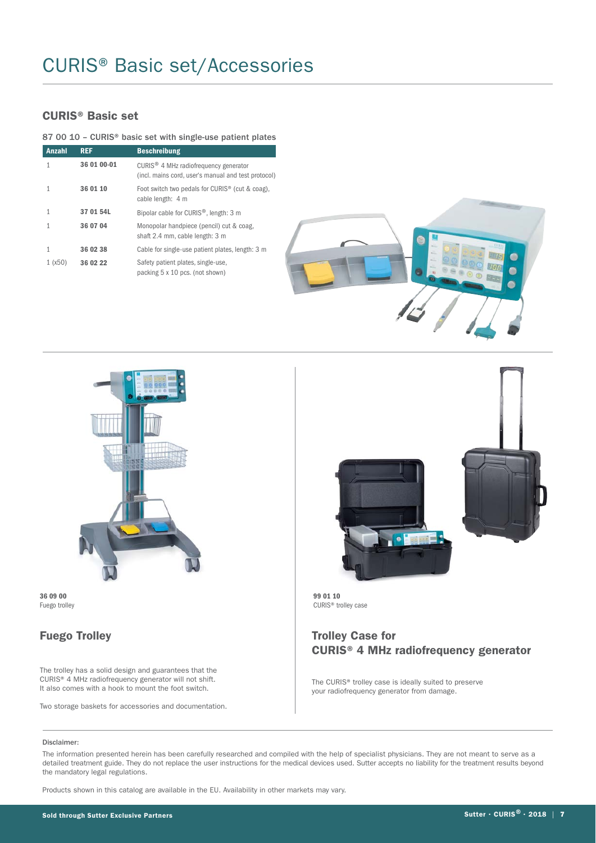## CURIS® Basic set/Accessories

#### **CURIS® Basic set**

#### 87 00 10 – CURIS® basic set with single-use patient plates

| <b>Anzahl</b> | <b>REF</b>  | <b>Beschreibung</b>                                                                                      |  |
|---------------|-------------|----------------------------------------------------------------------------------------------------------|--|
|               | 36 01 00-01 | CURIS <sup>®</sup> 4 MHz radiofrequency generator<br>(incl. mains cord, user's manual and test protocol) |  |
|               | 36 01 10    | Foot switch two pedals for CURIS <sup>®</sup> (cut & coag),<br>cable length: 4 m                         |  |
| 1             | 37 01 54L   | Bipolar cable for CURIS <sup>®</sup> , length: 3 m                                                       |  |
|               | 36 07 04    | Monopolar handpiece (pencil) cut & coag,<br>shaft 2.4 mm, cable length: 3 m                              |  |
|               | 36 02 38    | Cable for single-use patient plates, length: 3 m                                                         |  |
| 1(x50)        | 36 02 22    | Safety patient plates, single-use,<br>packing 5 x 10 pcs. (not shown)                                    |  |





Fuego trolley

#### **Fuego Trolley**

The trolley has a solid design and guarantees that the CURIS® 4 MHz radiofrequency generator will not shift. It also comes with a hook to mount the foot switch.

Two storage baskets for accessories and documentation.



CURIS<sup>®</sup> trolley case

#### **Trolley Case for CURIS® 4 MHz radiofrequency generator**

The CURIS® trolley case is ideally suited to preserve your radiofrequency generator from damage.

#### Disclaimer:

The information presented herein has been carefully researched and compiled with the help of specialist physicians. They are not meant to serve as a detailed treatment guide. They do not replace the user instructions for the medical devices used. Sutter accepts no liability for the treatment results beyond the mandatory legal regulations.

Products shown in this catalog are available in the EU. Availability in other markets may vary.